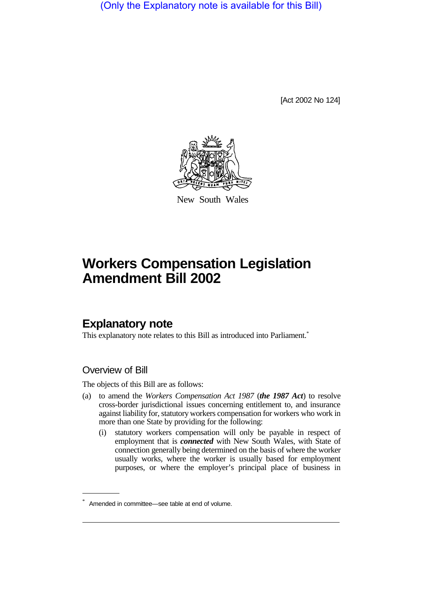(Only the Explanatory note is available for this Bill)

[Act 2002 No 124]



New South Wales

## **Workers Compensation Legislation Amendment Bill 2002**

## **Explanatory note**

This explanatory note relates to this Bill as introduced into Parliament.<sup>\*</sup>

## Overview of Bill

The objects of this Bill are as follows:

- (a) to amend the *Workers Compensation Act 1987* (*the 1987 Act*) to resolve cross-border jurisdictional issues concerning entitlement to, and insurance against liability for, statutory workers compensation for workers who work in more than one State by providing for the following:
	- (i) statutory workers compensation will only be payable in respect of employment that is *connected* with New South Wales, with State of connection generally being determined on the basis of where the worker usually works, where the worker is usually based for employment purposes, or where the employer's principal place of business in

Amended in committee—see table at end of volume.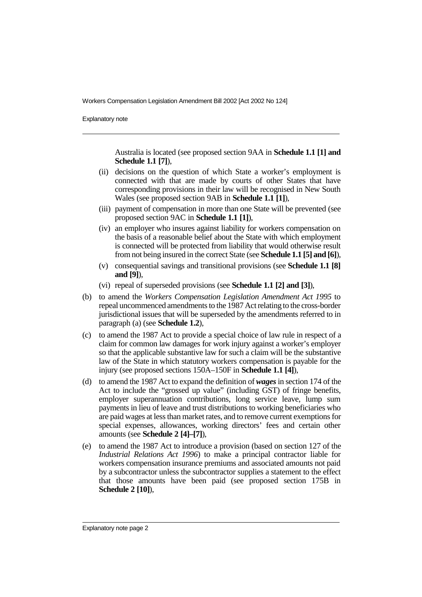Workers Compensation Legislation Amendment Bill 2002 [Act 2002 No 124]

Explanatory note

Australia is located (see proposed section 9AA in **Schedule 1.1 [1] and Schedule 1.1 [7]**),

- (ii) decisions on the question of which State a worker's employment is connected with that are made by courts of other States that have corresponding provisions in their law will be recognised in New South Wales (see proposed section 9AB in **Schedule 1.1 [1]**),
- (iii) payment of compensation in more than one State will be prevented (see proposed section 9AC in **Schedule 1.1 [1]**),
- (iv) an employer who insures against liability for workers compensation on the basis of a reasonable belief about the State with which employment is connected will be protected from liability that would otherwise result from not being insured in the correct State (see **Schedule 1.1 [5] and [6]**),
- (v) consequential savings and transitional provisions (see **Schedule 1.1 [8] and [9]**),
- (vi) repeal of superseded provisions (see **Schedule 1.1 [2] and [3]**),
- (b) to amend the *Workers Compensation Legislation Amendment Act 1995* to repeal uncommenced amendments to the 1987 Act relating to the cross-border jurisdictional issues that will be superseded by the amendments referred to in paragraph (a) (see **Schedule 1.2**),
- (c) to amend the 1987 Act to provide a special choice of law rule in respect of a claim for common law damages for work injury against a worker's employer so that the applicable substantive law for such a claim will be the substantive law of the State in which statutory workers compensation is payable for the injury (see proposed sections 150A–150F in **Schedule 1.1 [4]**),
- (d) to amend the 1987 Act to expand the definition of *wages*in section 174 of the Act to include the "grossed up value" (including GST) of fringe benefits, employer superannuation contributions, long service leave, lump sum payments in lieu of leave and trust distributions to working beneficiaries who are paid wages at less than market rates, and to remove current exemptions for special expenses, allowances, working directors' fees and certain other amounts (see **Schedule 2 [4]–[7]**),
- (e) to amend the 1987 Act to introduce a provision (based on section 127 of the *Industrial Relations Act 1996*) to make a principal contractor liable for workers compensation insurance premiums and associated amounts not paid by a subcontractor unless the subcontractor supplies a statement to the effect that those amounts have been paid (see proposed section 175B in **Schedule 2 [10]**),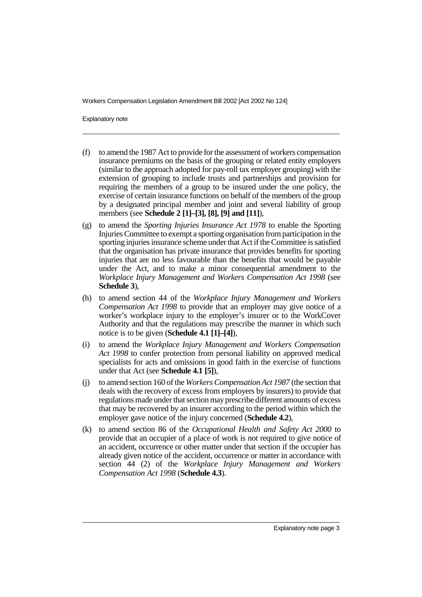Workers Compensation Legislation Amendment Bill 2002 [Act 2002 No 124]

Explanatory note

- (f) to amend the 1987 Act to provide for the assessment of workers compensation insurance premiums on the basis of the grouping or related entity employers (similar to the approach adopted for pay-roll tax employer grouping) with the extension of grouping to include trusts and partnerships and provision for requiring the members of a group to be insured under the one policy, the exercise of certain insurance functions on behalf of the members of the group by a designated principal member and joint and several liability of group members (see **Schedule 2 [1]–[3], [8], [9] and [11]**),
- (g) to amend the *Sporting Injuries Insurance Act 1978* to enable the Sporting Injuries Committee to exempt a sporting organisation from participation in the sporting injuries insurance scheme under that Act if the Committee is satisfied that the organisation has private insurance that provides benefits for sporting injuries that are no less favourable than the benefits that would be payable under the Act, and to make a minor consequential amendment to the *Workplace Injury Management and Workers Compensation Act 1998* (see **Schedule 3**),
- (h) to amend section 44 of the *Workplace Injury Management and Workers Compensation Act 1998* to provide that an employer may give notice of a worker's workplace injury to the employer's insurer or to the WorkCover Authority and that the regulations may prescribe the manner in which such notice is to be given (**Schedule 4.1 [1]–[4]**),
- (i) to amend the *Workplace Injury Management and Workers Compensation Act 1998* to confer protection from personal liability on approved medical specialists for acts and omissions in good faith in the exercise of functions under that Act (see **Schedule 4.1 [5]**),
- (j) to amend section 160 of the *Workers Compensation Act 1987* (the section that deals with the recovery of excess from employers by insurers) to provide that regulations made under that section mayprescribe different amounts of excess that may be recovered by an insurer according to the period within which the employer gave notice of the injury concerned (**Schedule 4.2**),
- (k) to amend section 86 of the *Occupational Health and Safety Act 2000* to provide that an occupier of a place of work is not required to give notice of an accident, occurrence or other matter under that section if the occupier has already given notice of the accident, occurrence or matter in accordance with section 44 (2) of the *Workplace Injury Management and Workers Compensation Act 1998* (**Schedule 4.3**).